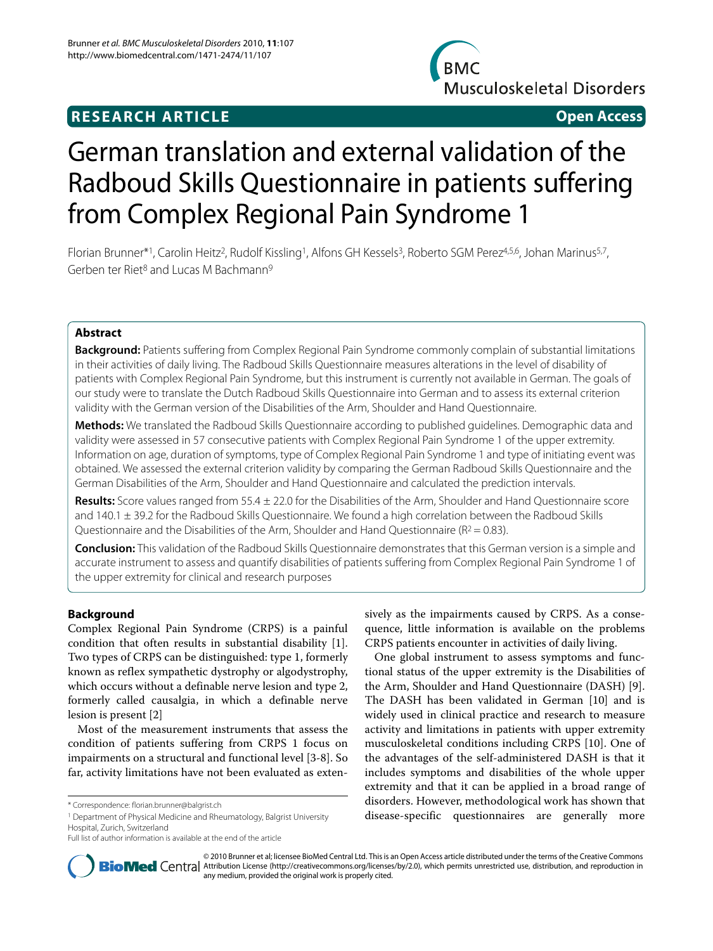# **RESEARCH ARTICLE Open Access**



# German translation and external validation of the Radboud Skills Questionnaire in patients suffering from Complex Regional Pain Syndrome 1

Florian Brunner\*1, Carolin Heitz<sup>2</sup>, Rudolf Kissling<sup>1</sup>, Alfons GH Kessels<sup>3</sup>, Roberto SGM Perez<sup>4,5,6</sup>, Johan Marinus<sup>5,7</sup>, Gerben ter Riet<sup>8</sup> and Lucas M Bachmann<sup>9</sup>

# **Abstract**

**Background:** Patients suffering from Complex Regional Pain Syndrome commonly complain of substantial limitations in their activities of daily living. The Radboud Skills Questionnaire measures alterations in the level of disability of patients with Complex Regional Pain Syndrome, but this instrument is currently not available in German. The goals of our study were to translate the Dutch Radboud Skills Questionnaire into German and to assess its external criterion validity with the German version of the Disabilities of the Arm, Shoulder and Hand Questionnaire.

**Methods:** We translated the Radboud Skills Questionnaire according to published guidelines. Demographic data and validity were assessed in 57 consecutive patients with Complex Regional Pain Syndrome 1 of the upper extremity. Information on age, duration of symptoms, type of Complex Regional Pain Syndrome 1 and type of initiating event was obtained. We assessed the external criterion validity by comparing the German Radboud Skills Questionnaire and the German Disabilities of the Arm, Shoulder and Hand Questionnaire and calculated the prediction intervals.

**Results:** Score values ranged from 55.4 ± 22.0 for the Disabilities of the Arm, Shoulder and Hand Questionnaire score and 140.1 ± 39.2 for the Radboud Skills Questionnaire. We found a high correlation between the Radboud Skills Questionnaire and the Disabilities of the Arm, Shoulder and Hand Questionnaire ( $R^2 = 0.83$ ).

**Conclusion:** This validation of the Radboud Skills Questionnaire demonstrates that this German version is a simple and accurate instrument to assess and quantify disabilities of patients suffering from Complex Regional Pain Syndrome 1 of the upper extremity for clinical and research purposes

# **Background**

Complex Regional Pain Syndrome (CRPS) is a painful condition that often results in substantial disability [\[1](#page-3-0)]. Two types of CRPS can be distinguished: type 1, formerly known as reflex sympathetic dystrophy or algodystrophy, which occurs without a definable nerve lesion and type 2, formerly called causalgia, in which a definable nerve lesion is present [[2\]](#page-3-1)

Most of the measurement instruments that assess the condition of patients suffering from CRPS 1 focus on impairments on a structural and functional level [\[3](#page-3-2)-[8\]](#page-4-0). So far, activity limitations have not been evaluated as exten-

1 Department of Physical Medicine and Rheumatology, Balgrist University Hospital, Zurich, Switzerland

sively as the impairments caused by CRPS. As a consequence, little information is available on the problems CRPS patients encounter in activities of daily living.

One global instrument to assess symptoms and functional status of the upper extremity is the Disabilities of the Arm, Shoulder and Hand Questionnaire (DASH) [\[9](#page-4-1)]. The DASH has been validated in German [[10\]](#page-4-2) and is widely used in clinical practice and research to measure activity and limitations in patients with upper extremity musculoskeletal conditions including CRPS [\[10](#page-4-2)]. One of the advantages of the self-administered DASH is that it includes symptoms and disabilities of the whole upper extremity and that it can be applied in a broad range of disorders. However, methodological work has shown that disease-specific questionnaires are generally more



© 2010 Brunner et al; licensee BioMed Central Ltd. This is an Open Access article distributed under the terms of the Creative Commons **BioMed** Central Attribution License (http://creativecommons.org/licenses/by/2.0), which permits unrestricted use, distribution, and reproduction in any medium, provided the original work is properly cited.

<sup>\*</sup> Correspondence: florian.brunner@balgrist.ch

Full list of author information is available at the end of the article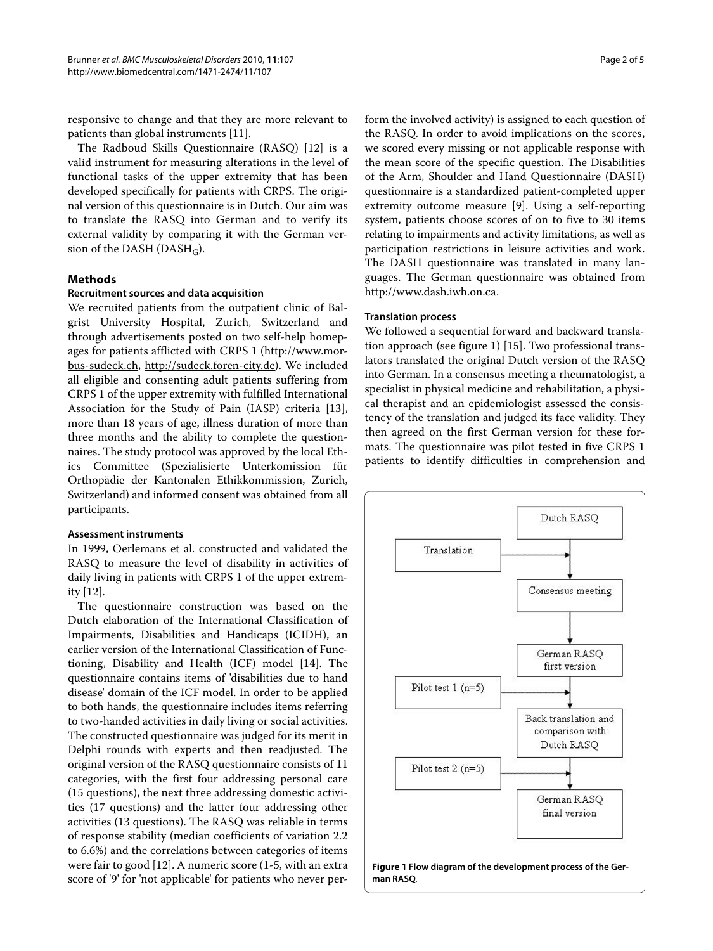responsive to change and that they are more relevant to patients than global instruments [\[11](#page-4-3)].

The Radboud Skills Questionnaire (RASQ) [\[12](#page-4-4)] is a valid instrument for measuring alterations in the level of functional tasks of the upper extremity that has been developed specifically for patients with CRPS. The original version of this questionnaire is in Dutch. Our aim was to translate the RASQ into German and to verify its external validity by comparing it with the German version of the DASH (DASH<sub>G</sub>).

## **Methods**

### **Recruitment sources and data acquisition**

We recruited patients from the outpatient clinic of Balgrist University Hospital, Zurich, Switzerland and through advertisements posted on two self-help homepages for patients afflicted with CRPS 1 ([http://www.mor](http://www.morbus-sudeck.ch)[bus-sudeck.ch](http://www.morbus-sudeck.ch), [http://sudeck.foren-city.de\)](http://sudeck.foren-city.de). We included all eligible and consenting adult patients suffering from CRPS 1 of the upper extremity with fulfilled International Association for the Study of Pain (IASP) criteria [\[13](#page-4-5)], more than 18 years of age, illness duration of more than three months and the ability to complete the questionnaires. The study protocol was approved by the local Ethics Committee (Spezialisierte Unterkomission für Orthopädie der Kantonalen Ethikkommission, Zurich, Switzerland) and informed consent was obtained from all participants.

### **Assessment instruments**

In 1999, Oerlemans et al. constructed and validated the RASQ to measure the level of disability in activities of daily living in patients with CRPS 1 of the upper extremity [[12](#page-4-4)].

The questionnaire construction was based on the Dutch elaboration of the International Classification of Impairments, Disabilities and Handicaps (ICIDH), an earlier version of the International Classification of Functioning, Disability and Health (ICF) model [[14](#page-4-6)]. The questionnaire contains items of 'disabilities due to hand disease' domain of the ICF model. In order to be applied to both hands, the questionnaire includes items referring to two-handed activities in daily living or social activities. The constructed questionnaire was judged for its merit in Delphi rounds with experts and then readjusted. The original version of the RASQ questionnaire consists of 11 categories, with the first four addressing personal care (15 questions), the next three addressing domestic activities (17 questions) and the latter four addressing other activities (13 questions). The RASQ was reliable in terms of response stability (median coefficients of variation 2.2 to 6.6%) and the correlations between categories of items were fair to good [\[12](#page-4-4)]. A numeric score (1-5, with an extra score of '9' for 'not applicable' for patients who never per-

form the involved activity) is assigned to each question of the RASQ. In order to avoid implications on the scores, we scored every missing or not applicable response with the mean score of the specific question. The Disabilities of the Arm, Shoulder and Hand Questionnaire (DASH) questionnaire is a standardized patient-completed upper extremity outcome measure [[9\]](#page-4-1). Using a self-reporting system, patients choose scores of on to five to 30 items relating to impairments and activity limitations, as well as participation restrictions in leisure activities and work. The DASH questionnaire was translated in many languages. The German questionnaire was obtained from <http://www.dash.iwh.on.ca.>

# **Translation process**

We followed a sequential forward and backward translation approach (see figure [1\)](#page-1-0) [[15\]](#page-4-7). Two professional translators translated the original Dutch version of the RASQ into German. In a consensus meeting a rheumatologist, a specialist in physical medicine and rehabilitation, a physical therapist and an epidemiologist assessed the consistency of the translation and judged its face validity. They then agreed on the first German version for these formats. The questionnaire was pilot tested in five CRPS 1 patients to identify difficulties in comprehension and

<span id="page-1-0"></span>

**Figure 1 Flow diagram of the development process of the German RASQ**.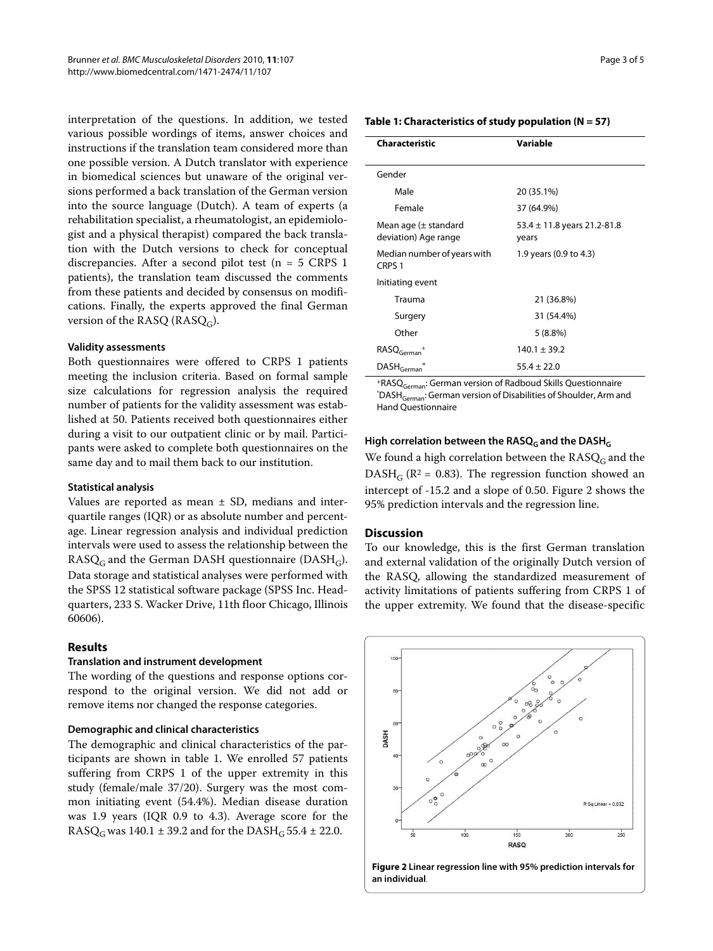interpretation of the questions. In addition, we tested various possible wordings of items, answer choices and instructions if the translation team considered more than one possible version. A Dutch translator with experience in biomedical sciences but unaware of the original versions performed a back translation of the German version into the source language (Dutch). A team of experts (a rehabilitation specialist, a rheumatologist, an epidemiologist and a physical therapist) compared the back translation with the Dutch versions to check for conceptual discrepancies. After a second pilot test (n = 5 CRPS 1 patients), the translation team discussed the comments from these patients and decided by consensus on modifications. Finally, the experts approved the final German version of the RASQ (RASQ<sub>G</sub>).

### **Validity assessments**

Both questionnaires were offered to CRPS 1 patients meeting the inclusion criteria. Based on formal sample size calculations for regression analysis the required number of patients for the validity assessment was established at 50. Patients received both questionnaires either during a visit to our outpatient clinic or by mail. Participants were asked to complete both questionnaires on the same day and to mail them back to our institution.

### **Statistical analysis**

Values are reported as mean  $\pm$  SD, medians and interquartile ranges (IQR) or as absolute number and percentage. Linear regression analysis and individual prediction intervals were used to assess the relationship between the  $RASQ<sub>G</sub>$  and the German DASH questionnaire (DASH<sub>G</sub>). Data storage and statistical analyses were performed with the SPSS 12 statistical software package (SPSS Inc. Headquarters, 233 S. Wacker Drive, 11th floor Chicago, Illinois 60606).

# **Results**

### **Translation and instrument development**

The wording of the questions and response options correspond to the original version. We did not add or remove items nor changed the response categories.

# **Demographic and clinical characteristics**

The demographic and clinical characteristics of the participants are shown in table 1. We enrolled 57 patients suffering from CRPS 1 of the upper extremity in this study (female/male 37/20). Surgery was the most common initiating event (54.4%). Median disease duration was 1.9 years (IQR 0.9 to 4.3). Average score for the RASQ<sub>G</sub> was 140.1  $\pm$  39.2 and for the DASH<sub>G</sub> 55.4  $\pm$  22.0.

**Table 1: Characteristics of study population (N = 57)**

| Characteristic                                   | Variable                                 |
|--------------------------------------------------|------------------------------------------|
|                                                  |                                          |
| Gender                                           |                                          |
| Male                                             | 20 (35.1%)                               |
| Female                                           | 37 (64.9%)                               |
| Mean age $(\pm$ standard<br>deviation) Age range | 53.4 $\pm$ 11.8 years 21.2-81.8<br>years |
| Median number of years with<br>CRPS <sub>1</sub> | 1.9 years (0.9 to 4.3)                   |
| Initiating event                                 |                                          |
| Trauma                                           | 21 (36.8%)                               |
| Surgery                                          | 31 (54.4%)                               |
| Other                                            | $5(8.8\%)$                               |
| $RASQGerman$ +                                   | $140.1 \pm 39.2$                         |
| $\mathsf{DASH}_\mathsf{German}$                  | $55.4 \pm 22.0$                          |

+RASQGerman: German version of Radboud Skills Questionnaire "DASH<sub>German</sub>: German version of Disabilities of Shoulder, Arm and Hand Questionnaire

### High correlation between the RASQ<sub>G</sub> and the DASH<sub>G</sub>

We found a high correlation between the  $RASQ<sub>G</sub>$  and the DASH<sub>G</sub> ( $\mathbb{R}^2$  = 0.83). The regression function showed an intercept of -15.2 and a slope of 0.50. Figure [2](#page-2-0) shows the 95% prediction intervals and the regression line.

### **Discussion**

To our knowledge, this is the first German translation and external validation of the originally Dutch version of the RASQ, allowing the standardized measurement of activity limitations of patients suffering from CRPS 1 of the upper extremity. We found that the disease-specific

<span id="page-2-0"></span>

**Figure 2 Linear regression line with 95% prediction intervals for an individual**.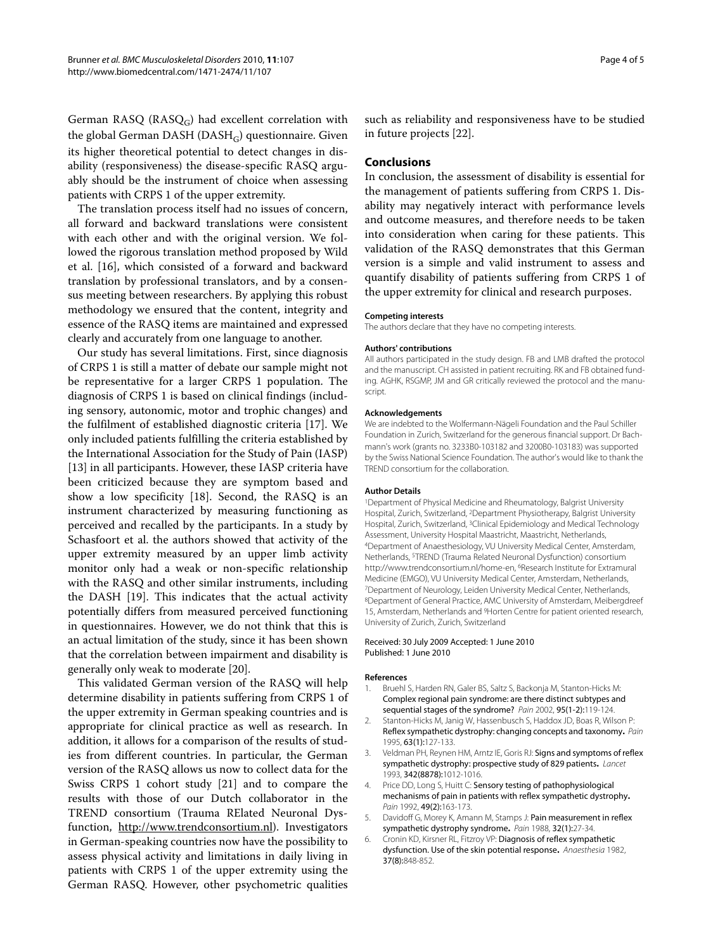German RASQ ( $RASQ_G$ ) had excellent correlation with the global German DASH ( $DASH_G$ ) questionnaire. Given its higher theoretical potential to detect changes in disability (responsiveness) the disease-specific RASQ arguably should be the instrument of choice when assessing patients with CRPS 1 of the upper extremity.

The translation process itself had no issues of concern, all forward and backward translations were consistent with each other and with the original version. We followed the rigorous translation method proposed by Wild et al. [[16\]](#page-4-8), which consisted of a forward and backward translation by professional translators, and by a consensus meeting between researchers. By applying this robust methodology we ensured that the content, integrity and essence of the RASQ items are maintained and expressed clearly and accurately from one language to another.

Our study has several limitations. First, since diagnosis of CRPS 1 is still a matter of debate our sample might not be representative for a larger CRPS 1 population. The diagnosis of CRPS 1 is based on clinical findings (including sensory, autonomic, motor and trophic changes) and the fulfilment of established diagnostic criteria [\[17](#page-4-9)]. We only included patients fulfilling the criteria established by the International Association for the Study of Pain (IASP) [[13\]](#page-4-5) in all participants. However, these IASP criteria have been criticized because they are symptom based and show a low specificity [[18\]](#page-4-10). Second, the RASQ is an instrument characterized by measuring functioning as perceived and recalled by the participants. In a study by Schasfoort et al. the authors showed that activity of the upper extremity measured by an upper limb activity monitor only had a weak or non-specific relationship with the RASQ and other similar instruments, including the DASH [[19\]](#page-4-11). This indicates that the actual activity potentially differs from measured perceived functioning in questionnaires. However, we do not think that this is an actual limitation of the study, since it has been shown that the correlation between impairment and disability is generally only weak to moderate [[20\]](#page-4-12).

This validated German version of the RASQ will help determine disability in patients suffering from CRPS 1 of the upper extremity in German speaking countries and is appropriate for clinical practice as well as research. In addition, it allows for a comparison of the results of studies from different countries. In particular, the German version of the RASQ allows us now to collect data for the Swiss CRPS 1 cohort study [\[21\]](#page-4-13) and to compare the results with those of our Dutch collaborator in the TREND consortium (Trauma RElated Neuronal Dysfunction, [http://www.trendconsortium.nl\)](http://www.trendconsortium.nl). Investigators in German-speaking countries now have the possibility to assess physical activity and limitations in daily living in patients with CRPS 1 of the upper extremity using the German RASQ. However, other psychometric qualities

such as reliability and responsiveness have to be studied in future projects [[22\]](#page-4-14).

# **Conclusions**

In conclusion, the assessment of disability is essential for the management of patients suffering from CRPS 1. Disability may negatively interact with performance levels and outcome measures, and therefore needs to be taken into consideration when caring for these patients. This validation of the RASQ demonstrates that this German version is a simple and valid instrument to assess and quantify disability of patients suffering from CRPS 1 of the upper extremity for clinical and research purposes.

#### **Competing interests**

The authors declare that they have no competing interests.

#### **Authors' contributions**

All authors participated in the study design. FB and LMB drafted the protocol and the manuscript. CH assisted in patient recruiting. RK and FB obtained funding. AGHK, RSGMP, JM and GR critically reviewed the protocol and the manuscript.

#### **Acknowledgements**

We are indebted to the Wolfermann-Nägeli Foundation and the Paul Schiller Foundation in Zurich, Switzerland for the generous financial support. Dr Bachmann's work (grants no. 3233B0-103182 and 3200B0-103183) was supported by the Swiss National Science Foundation. The author's would like to thank the TREND consortium for the collaboration.

#### **Author Details**

1Department of Physical Medicine and Rheumatology, Balgrist University Hospital, Zurich, Switzerland, 2Department Physiotherapy, Balgrist University Hospital, Zurich, Switzerland, 3Clinical Epidemiology and Medical Technology Assessment, University Hospital Maastricht, Maastricht, Netherlands, 4Department of Anaesthesiology, VU University Medical Center, Amsterdam, Netherlands, 5TREND (Trauma Related Neuronal Dysfunction) consortium http://www.trendconsortium.nl/home-en, 6Research Institute for Extramural Medicine (EMGO), VU University Medical Center, Amsterdam, Netherlands, 7Department of Neurology, Leiden University Medical Center, Netherlands, 8Department of General Practice, AMC University of Amsterdam, Meibergdreef 15, Amsterdam, Netherlands and 9Horten Centre for patient oriented research, University of Zurich, Zurich, Switzerland

#### Received: 30 July 2009 Accepted: 1 June 2010 Published: 1 June 2010

#### **References**

- <span id="page-3-0"></span>1. Bruehl S, Harden RN, Galer BS, Saltz S, Backonja M, Stanton-Hicks M: Complex regional pain syndrome: are there distinct subtypes and sequential stages of the syndrome? Pain 2002, 95(1-2):119-124.
- <span id="page-3-1"></span>2. Stanton-Hicks M, Janig W, Hassenbusch S, Haddox JD, Boas R, Wilson P: Reflex sympathetic dystrophy: changing concepts and taxonomy**.** Pain 1995, 63(1):127-133.
- <span id="page-3-2"></span>Veldman PH, Reynen HM, Arntz IE, Goris RJ: Signs and symptoms of reflex sympathetic dystrophy: prospective study of 829 patients**.** Lancet 1993, 342(8878):1012-1016.
- 4. Price DD, Long S, Huitt C: Sensory testing of pathophysiological mechanisms of pain in patients with reflex sympathetic dystrophy**[.](http://www.ncbi.nlm.nih.gov/entrez/query.fcgi?cmd=Retrieve&db=PubMed&dopt=Abstract&list_uids=1608643)** Pain 1992, 49(2):163-173.
- Davidoff G, Morey K, Amann M, Stamps J: Pain measurement in reflex sympathetic dystrophy syndrome**.** Pain 1988, 32(1):27-34.
- 6. Cronin KD, Kirsner RL, Fitzroy VP: Diagnosis of reflex sympathetic dysfunction. Use of the skin potential response**.** Anaesthesia 1982, 37(8):848-852.